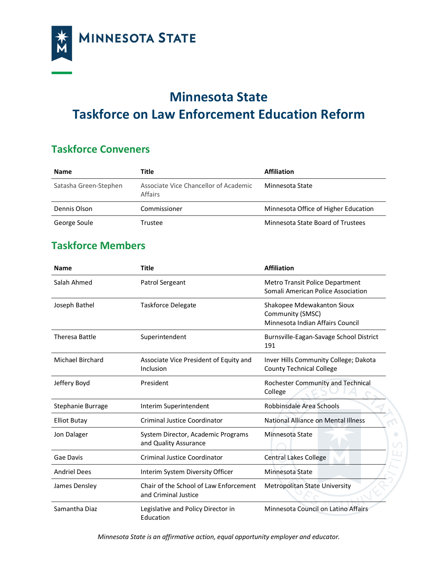

## **Minnesota State Taskforce on Law Enforcement Education Reform**

## **Taskforce Conveners**

| <b>Name</b>           | Title                                            | <b>Affiliation</b>                   |
|-----------------------|--------------------------------------------------|--------------------------------------|
| Satasha Green-Stephen | Associate Vice Chancellor of Academic<br>Affairs | Minnesota State                      |
| Dennis Olson          | Commissioner                                     | Minnesota Office of Higher Education |
| George Soule          | Trustee                                          | Minnesota State Board of Trustees    |

## **Taskforce Members**

| <b>Name</b>             | <b>Title</b>                                                   | <b>Affiliation</b>                                                                 |
|-------------------------|----------------------------------------------------------------|------------------------------------------------------------------------------------|
| Salah Ahmed             | Patrol Sergeant                                                | Metro Transit Police Department<br>Somali American Police Association              |
| Joseph Bathel           | <b>Taskforce Delegate</b>                                      | Shakopee Mdewakanton Sioux<br>Community (SMSC)<br>Minnesota Indian Affairs Council |
| <b>Theresa Battle</b>   | Superintendent                                                 | Burnsville-Eagan-Savage School District<br>191                                     |
| <b>Michael Birchard</b> | Associate Vice President of Equity and<br>Inclusion            | Inver Hills Community College; Dakota<br><b>County Technical College</b>           |
| Jeffery Boyd            | President                                                      | Rochester Community and Technical<br>College                                       |
| Stephanie Burrage       | Interim Superintendent                                         | Robbinsdale Area Schools                                                           |
| <b>Elliot Butay</b>     | Criminal Justice Coordinator                                   | National Alliance on Mental Illness                                                |
| Jon Dalager             | System Director, Academic Programs<br>and Quality Assurance    | Minnesota State                                                                    |
| Gae Davis               | Criminal Justice Coordinator                                   | <b>Central Lakes College</b>                                                       |
| <b>Andriel Dees</b>     | Interim System Diversity Officer                               | Minnesota State                                                                    |
| James Densley           | Chair of the School of Law Enforcement<br>and Criminal Justice | Metropolitan State University                                                      |
| Samantha Diaz           | Legislative and Policy Director in<br>Education                | Minnesota Council on Latino Affairs                                                |

*Minnesota State is an affirmative action, equal opportunity employer and educator.*